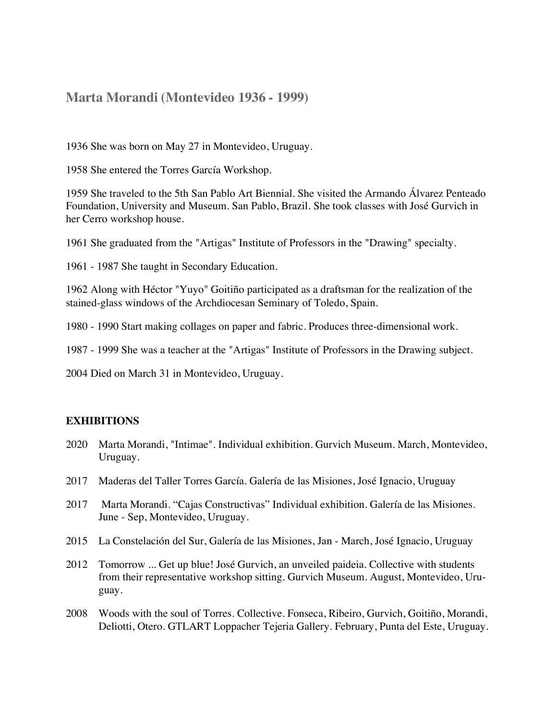## **Marta Morandi (Montevideo 1936 - 1999)**

1936 She was born on May 27 in Montevideo, Uruguay.

1958 She entered the Torres García Workshop.

1959 She traveled to the 5th San Pablo Art Biennial. She visited the Armando Álvarez Penteado Foundation, University and Museum. San Pablo, Brazil. She took classes with José Gurvich in her Cerro workshop house.

1961 She graduated from the "Artigas" Institute of Professors in the "Drawing" specialty.

1961 - 1987 She taught in Secondary Education.

1962 Along with Héctor "Yuyo" Goitiño participated as a draftsman for the realization of the stained-glass windows of the Archdiocesan Seminary of Toledo, Spain.

1980 - 1990 Start making collages on paper and fabric. Produces three-dimensional work.

1987 - 1999 She was a teacher at the "Artigas" Institute of Professors in the Drawing subject.

2004 Died on March 31 in Montevideo, Uruguay.

## **EXHIBITIONS**

- 2020 Marta Morandi, "Intimae". Individual exhibition. Gurvich Museum. March, Montevideo, Uruguay.
- 2017 Maderas del Taller Torres García. Galería de las Misiones, José Ignacio, Uruguay
- 2017 Marta Morandi. "Cajas Constructivas" Individual exhibition. Galería de las Misiones. June - Sep, Montevideo, Uruguay.
- 2015 La Constelación del Sur, Galería de las Misiones, Jan March, José Ignacio, Uruguay
- 2012 Tomorrow ... Get up blue! José Gurvich, an unveiled paideia. Collective with students from their representative workshop sitting. Gurvich Museum. August, Montevideo, Uruguay.
- 2008 Woods with the soul of Torres. Collective. Fonseca, Ribeiro, Gurvich, Goitiño, Morandi, Deliotti, Otero. GTLART Loppacher Tejeria Gallery. February, Punta del Este, Uruguay.